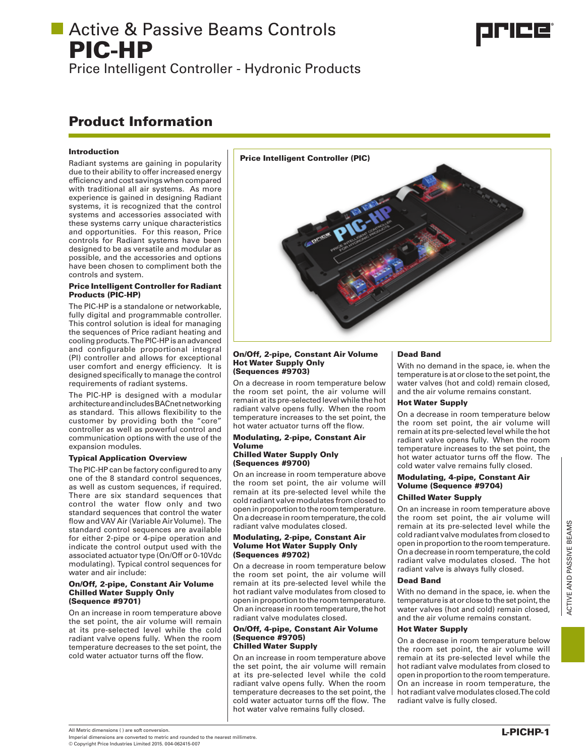Price Intelligent Controller - Hydronic Products

# Product Information

### Introduction

Radiant systems are gaining in popularity due to their ability to offer increased energy efficiency and cost savings when compared with traditional all air systems. As more experience is gained in designing Radiant systems, it is recognized that the control systems and accessories associated with these systems carry unique characteristics and opportunities. For this reason, Price controls for Radiant systems have been designed to be as versatile and modular as possible, and the accessories and options have been chosen to compliment both the controls and system.

### Price Intelligent Controller for Radiant Products (PIC-HP)

The PIC-HP is a standalone or networkable, fully digital and programmable controller. This control solution is ideal for managing the sequences of Price radiant heating and cooling products. The PIC-HP is an advanced and configurable proportional integral (PI) controller and allows for exceptional user comfort and energy efficiency. It is designed specifically to manage the control requirements of radiant systems.

The PIC-HP is designed with a modular architecture and includes BACnet networking as standard. This allows flexibility to the customer by providing both the "core" controller as well as powerful control and communication options with the use of the expansion modules.

### Typical Application Overview

The PIC-HP can be factory configured to any one of the 8 standard control sequences, as well as custom sequences, if required. There are six standard sequences that control the water flow only and two standard sequences that control the water flow and VAV Air (Variable Air Volume). The standard control sequences are available for either 2-pipe or 4-pipe operation and indicate the control output used with the associated actuator type (On/Off or 0-10Vdc modulating). Typical control sequences for water and air include:

#### On/Off, 2-pipe, Constant Air Volume Chilled Water Supply Only (Sequence #9701)

On an increase in room temperature above the set point, the air volume will remain at its pre-selected level while the cold radiant valve opens fully. When the room temperature decreases to the set point, the cold water actuator turns off the flow.



#### On/Off, 2-pipe, Constant Air Volume Hot Water Supply Only (Sequences #9703)

On a decrease in room temperature below the room set point, the air volume will remain at its pre-selected level while the hot radiant valve opens fully. When the room temperature increases to the set point, the hot water actuator turns off the flow.

#### Modulating, 2-pipe, Constant Air Volume

### Chilled Water Supply Only (Sequences #9700)

On an increase in room temperature above the room set point, the air volume will remain at its pre-selected level while the cold radiant valve modulates from closed to open in proportion to the room temperature. On a decrease in room temperature, the cold radiant valve modulates closed.

#### Modulating, 2-pipe, Constant Air Volume Hot Water Supply Only (Sequences #9702)

On a decrease in room temperature below the room set point, the air volume will remain at its pre-selected level while the hot radiant valve modulates from closed to open in proportion to the room temperature. On an increase in room temperature, the hot radiant valve modulates closed.

#### On/Off, 4-pipe, Constant Air Volume (Sequence #9705) Chilled Water Supply

On an increase in room temperature above the set point, the air volume will remain at its pre-selected level while the cold radiant valve opens fully. When the room temperature decreases to the set point, the cold water actuator turns off the flow. The hot water valve remains fully closed.

## Dead Band

With no demand in the space, ie. when the temperature is at or close to the set point, the water valves (hot and cold) remain closed, and the air volume remains constant.

### Hot Water Supply

On a decrease in room temperature below the room set point, the air volume will remain at its pre-selected level while the hot radiant valve opens fully. When the room temperature increases to the set point, the hot water actuator turns off the flow. The cold water valve remains fully closed.

## Modulating, 4-pipe, Constant Air Volume (Sequence #9704)

## Chilled Water Supply

On an increase in room temperature above the room set point, the air volume will remain at its pre-selected level while the cold radiant valve modulates from closed to open in proportion to the room temperature. On a decrease in room temperature, the cold radiant valve modulates closed. The hot radiant valve is always fully closed.

### Dead Band

With no demand in the space, ie. when the temperature is at or close to the set point, the water valves (hot and cold) remain closed, and the air volume remains constant.

### Hot Water Supply

On a decrease in room temperature below the room set point, the air volume will remain at its pre-selected level while the hot radiant valve modulates from closed to open in proportion to the room temperature. On an increase in room temperature, the hot radiant valve modulates closed. The cold radiant valve is fully closed.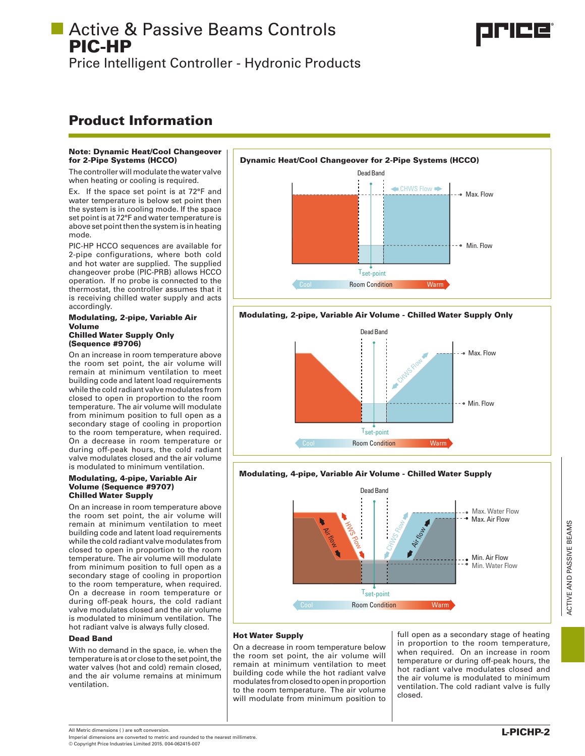Price Intelligent Controller - Hydronic Products

# Product Information

### Note: Dynamic Heat/Cool Changeover for 2-Pipe Systems (HCCO)

The controller will modulate the water valve when heating or cooling is required.

Ex. If the space set point is at 72°F and water temperature is below set point then the system is in cooling mode. If the space set point is at 72°F and water temperature is above set point then the system is in heating mode.

PIC-HP HCCO sequences are available for 2-pipe configurations, where both cold and hot water are supplied. The supplied changeover probe (PIC-PRB) allows HCCO operation. If no probe is connected to the thermostat, the controller assumes that it is receiving chilled water supply and acts accordingly.

#### Modulating, 2-pipe, Variable Air Volume Chilled Water Supply Only (Sequence #9706)

On an increase in room temperature above the room set point, the air volume will remain at minimum ventilation to meet building code and latent load requirements while the cold radiant valve modulates from closed to open in proportion to the room temperature. The air volume will modulate from minimum position to full open as a secondary stage of cooling in proportion to the room temperature, when required. On a decrease in room temperature or during off-peak hours, the cold radiant valve modulates closed and the air volume is modulated to minimum ventilation.

### Modulating, 4-pipe, Variable Air Volume (Sequence #9707) Chilled Water Supply

On an increase in room temperature above the room set point, the air volume will remain at minimum ventilation to meet building code and latent load requirements while the cold radiant valve modulates from closed to open in proportion to the room temperature. The air volume will modulate from minimum position to full open as a secondary stage of cooling in proportion to the room temperature, when required. On a decrease in room temperature or during off-peak hours, the cold radiant valve modulates closed and the air volume is modulated to minimum ventilation. The hot radiant valve is always fully closed.

### Dead Band

With no demand in the space, ie. when the temperature is at or close to the set point, the water valves (hot and cold) remain closed, and the air volume remains at minimum ventilation.



### Modulating, 2-pipe, Variable Air Volume - Chilled Water Supply Only



### Modulating, 4-pipe, Variable Air Volume - Chilled Water Supply



### Hot Water Supply

On a decrease in room temperature below the room set point, the air volume will remain at minimum ventilation to meet building code while the hot radiant valve modulates from closed to open in proportion to the room temperature. The air volume will modulate from minimum position to

full open as a secondary stage of heating in proportion to the room temperature, when required. On an increase in room temperature or during off-peak hours, the hot radiant valve modulates closed and the air volume is modulated to minimum ventilation. The cold radiant valve is fully closed.



Imperial dimensions are converted to metric and rounded to the nearest millimetre.

© Copyright Price Industries Limited 2015. 004-062415-007

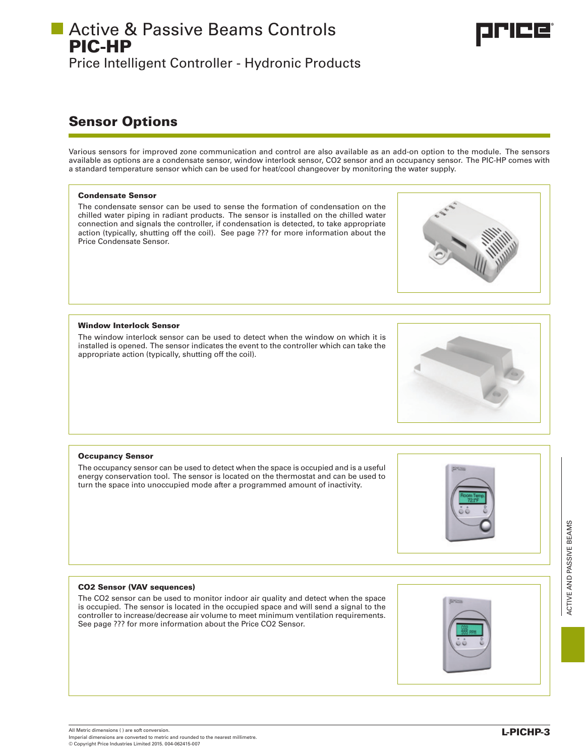# **Active & Passive Beams Controls** PIC-HP Price Intelligent Controller - Hydronic Products

# Sensor Options

Various sensors for improved zone communication and control are also available as an add-on option to the module. The sensors available as options are a condensate sensor, window interlock sensor, CO2 sensor and an occupancy sensor. The PIC-HP comes with a standard temperature sensor which can be used for heat/cool changeover by monitoring the water supply.

### Condensate Sensor

The condensate sensor can be used to sense the formation of condensation on the chilled water piping in radiant products. The sensor is installed on the chilled water connection and signals the controller, if condensation is detected, to take appropriate action (typically, shutting off the coil). See page ??? for more information about the Price Condensate Sensor.

Window Interlock Sensor

The window interlock sensor can be used to detect when the window on which it is installed is opened. The sensor indicates the event to the controller which can take the appropriate action (typically, shutting off the coil).

#### Occupancy Sensor

The occupancy sensor can be used to detect when the space is occupied and is a useful energy conservation tool. The sensor is located on the thermostat and can be used to turn the space into unoccupied mode after a programmed amount of inactivity.

CO2 Sensor (VAV sequences)

The CO2 sensor can be used to monitor indoor air quality and detect when the space is occupied. The sensor is located in the occupied space and will send a signal to the controller to increase/decrease air volume to meet minimum ventilation requirements. See page ??? for more information about the Price CO2 Sensor.









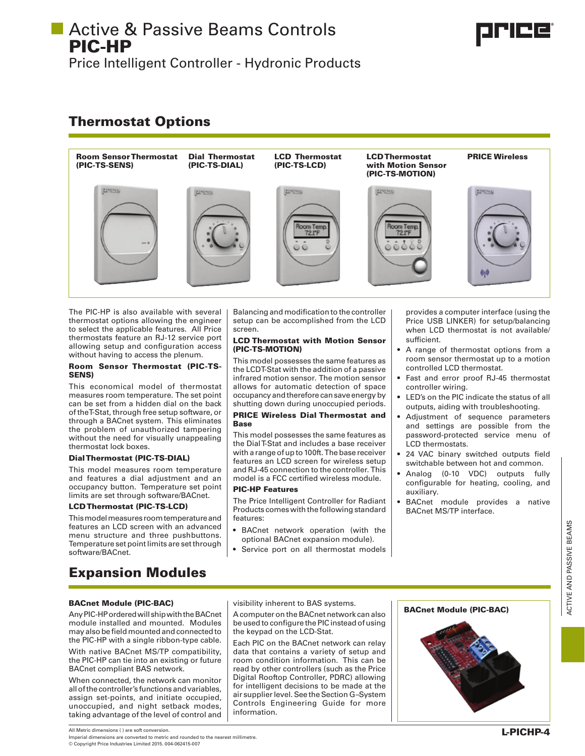Price Intelligent Controller - Hydronic Products

# Thermostat Options



The PIC-HP is also available with several thermostat options allowing the engineer to select the applicable features. All Price thermostats feature an RJ-12 service port allowing setup and configuration access without having to access the plenum.

### Room Sensor Thermostat (PIC-TS-SENS)

This economical model of thermostat measures room temperature. The set point can be set from a hidden dial on the back of the T-Stat, through free setup software, or through a BACnet system. This eliminates the problem of unauthorized tampering without the need for visually unappealing thermostat lock boxes.

### Dial Thermostat (PIC-TS-DIAL)

This model measures room temperature and features a dial adjustment and an occupancy button. Temperature set point limits are set through software/BACnet.

### LCD Thermostat (PIC-TS-LCD)

This model measures room temperature and features an LCD screen with an advanced menu structure and three pushbuttons. Temperature set point limits are set through software/BACnet.

### Balancing and modification to the controller setup can be accomplished from the LCD screen.

### LCD Thermostat with Motion Sensor (PIC-TS-MOTION)

This model possesses the same features as the LCDT-Stat with the addition of a passive infrared motion sensor. The motion sensor allows for automatic detection of space occupancy and therefore can save energy by shutting down during unoccupied periods.

### PRICE Wireless Dial Thermostat and Base

This model possesses the same features as the Dial T-Stat and includes a base receiver with a range of up to 100ft. The base receiver features an LCD screen for wireless setup and RJ-45 connection to the controller. This model is a FCC certified wireless module.

### PIC-HP Features

The Price Intelligent Controller for Radiant Products comes with the following standard features:

- • BACnet network operation (with the optional BACnet expansion module).
- Service port on all thermostat models

provides a computer interface (using the Price USB LINKER) for setup/balancing when LCD thermostat is not available/ sufficient.

- A range of thermostat options from a room sensor thermostat up to a motion controlled LCD thermostat.
- Fast and error proof RJ-45 thermostat controller wiring.
- • LED's on the PIC indicate the status of all outputs, aiding with troubleshooting.
- • Adjustment of sequence parameters and settings are possible from the password-protected service menu of LCD thermostats.
- 24 VAC binary switched outputs field switchable between hot and common.
- • Analog (0-10 VDC) outputs fully configurable for heating, cooling, and auxiliary.
- BACnet module provides a native BACnet MS/TP interface.

# Expansion Modules

## BACnet Module (PIC-BAC)

Any PIC-HP ordered will ship with the BACnet module installed and mounted. Modules may also be field mounted and connected to the PIC-HP with a single ribbon-type cable.

With native BACnet MS/TP compatibility, the PIC-HP can tie into an existing or future BACnet compliant BAS network.

When connected, the network can monitor all of the controller's functions and variables, assign set-points, and initiate occupied, unoccupied, and night setback modes, taking advantage of the level of control and

A computer on the BACnet network can also be used to configure the PIC instead of using the keypad on the LCD-Stat.

Each PIC on the BACnet network can relay data that contains a variety of setup and room condition information. This can be read by other controllers (such as the Price Digital Rooftop Controller, PDRC) allowing for intelligent decisions to be made at the air supplierlevel.See theSection G*–*System Controls Engineering Guide for more information.



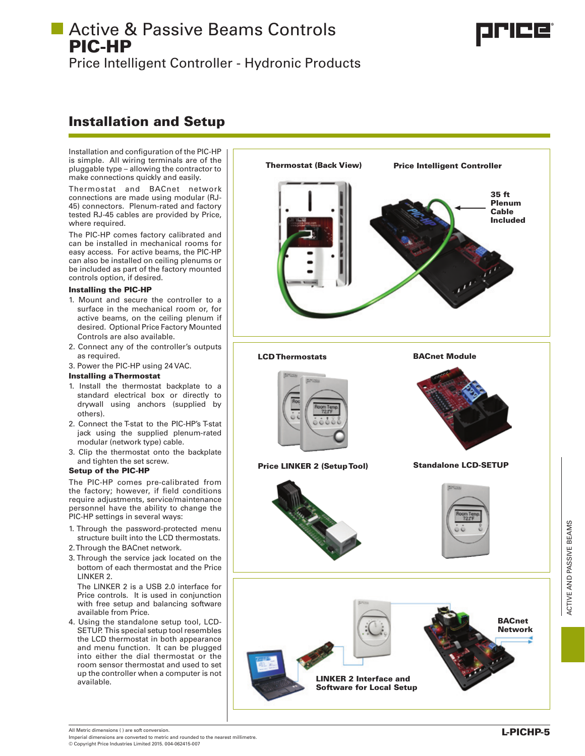Price Intelligent Controller - Hydronic Products

# Installation and Setup

Installation and configuration of the PIC-HP is simple. All wiring terminals are of the pluggable type – allowing the contractor to make connections quickly and easily.

Thermostat and BACnet network connections are made using modular (RJ-45) connectors. Plenum-rated and factory tested RJ-45 cables are provided by Price, where required.

The PIC-HP comes factory calibrated and can be installed in mechanical rooms for easy access. For active beams, the PIC-HP can also be installed on ceiling plenums or be included as part of the factory mounted controls option, if desired.

### Installing the PIC-HP

- 1. Mount and secure the controller to a surface in the mechanical room or, for active beams, on the ceiling plenum if desired. Optional Price Factory Mounted Controls are also available.
- 2. Connect any of the controller's outputs as required.

3. Power the PIC-HP using 24 VAC.

### Installing a Thermostat

- 1. Install the thermostat backplate to a standard electrical box or directly to drywall using anchors (supplied by others).
- 2. Connect the T-stat to the PIC-HP's T-stat jack using the supplied plenum-rated modular (network type) cable.
- 3. Clip the thermostat onto the backplate and tighten the set screw.

## Setup of the PIC-HP

The PIC-HP comes pre-calibrated from the factory; however, if field conditions require adjustments, service/maintenance personnel have the ability to change the PIC-HP settings in several ways:

- 1. Through the password-protected menu structure built into the LCD thermostats.
- 2. Through the BACnet network.
- 3. Through the service jack located on the bottom of each thermostat and the Price LINKER 2.

The LINKER 2 is a USB 2.0 interface for Price controls. It is used in conjunction with free setup and balancing software available from Price.

4. Using the standalone setup tool, LCD-SETUP. This special setup tool resembles the LCD thermostat in both appearance and menu function. It can be plugged into either the dial thermostat or the room sensor thermostat and used to set up the controller when a computer is not available.



All Metric dimensions ( ) are soft conversion. Imperial dimensions are converted to metric and rounded to the nearest millimetre. © Copyright Price Industries Limited 2015. 004-062415-007

L-PICHP-5

ACTIVE AND PASSIVE BEAMS

ACTIVE AND PASSIVE BEAMS